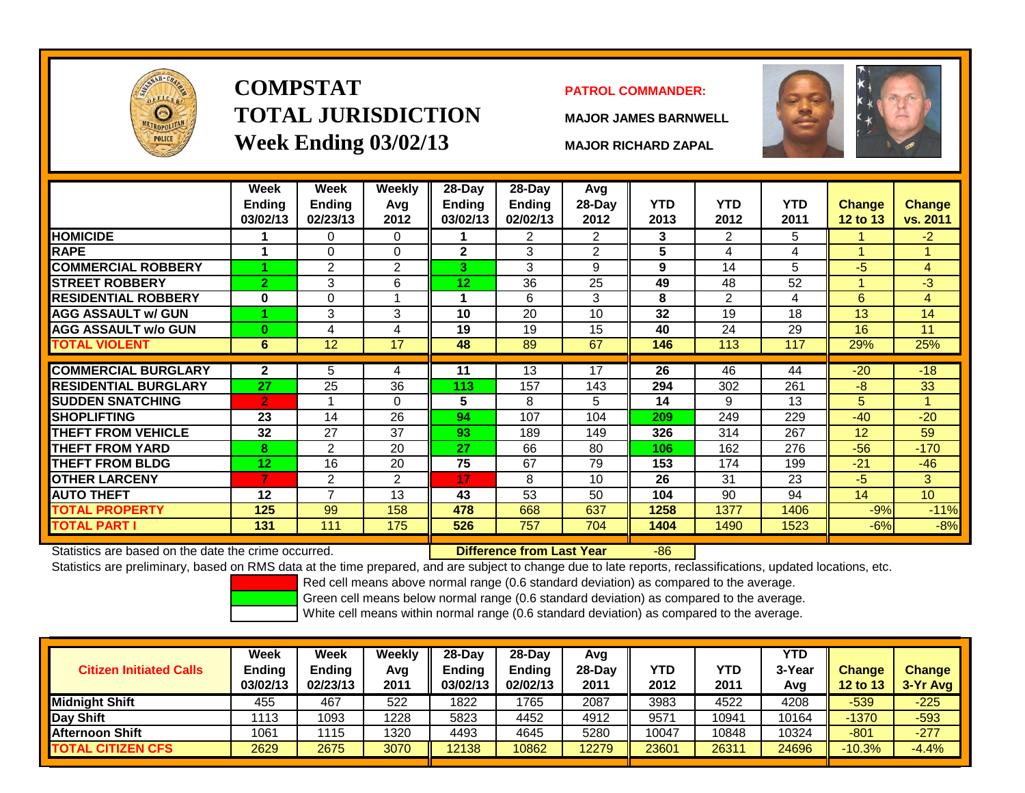

# **COMPSTATTOTAL JURISDICTIONWeek Ending 03/02/13 MAJOR RICHARD ZAPAL**

## **PATROL COMMANDER:**

**MAJOR JAMES BARNWELL**



|                                                      | <b>Week</b><br><b>Ending</b><br>03/02/13 | Week<br><b>Ending</b><br>02/23/13 | <b>Weekly</b><br>Avg<br>2012 | 28-Day<br><b>Ending</b><br>03/02/13 | 28-Day<br><b>Ending</b><br>02/02/13 | Avg<br>$28$ -Day<br>2012 | <b>YTD</b><br>2013 | <b>YTD</b><br>2012 | <b>YTD</b><br>2011 | <b>Change</b><br>12 to 13 | <b>Change</b><br>vs. 2011 |
|------------------------------------------------------|------------------------------------------|-----------------------------------|------------------------------|-------------------------------------|-------------------------------------|--------------------------|--------------------|--------------------|--------------------|---------------------------|---------------------------|
| <b>HOMICIDE</b>                                      |                                          | 0                                 | 0                            |                                     | $\overline{2}$                      | $\overline{2}$           | 3                  | 2                  | 5                  |                           | $-2$                      |
| <b>RAPE</b>                                          |                                          | 0                                 | $\Omega$                     | $\mathbf{2}$                        | 3                                   | 2                        | 5                  | 4                  | 4                  |                           |                           |
| <b>COMMERCIAL ROBBERY</b>                            |                                          | $\overline{2}$                    | 2                            | 3.                                  | 3                                   | 9                        | 9                  | 14                 | 5                  | $-5$                      | 4                         |
| <b>STREET ROBBERY</b>                                | $\overline{2}$                           | 3                                 | 6                            | 12                                  | 36                                  | 25                       | 49                 | 48                 | 52                 |                           | $-3$                      |
| <b>RESIDENTIAL ROBBERY</b>                           | $\bf{0}$                                 | $\Omega$                          |                              | 1                                   | 6                                   | 3                        | 8                  | 2                  | 4                  | 6                         | 4                         |
| <b>AGG ASSAULT w/ GUN</b>                            |                                          | 3                                 | 3                            | 10                                  | 20                                  | 10                       | 32                 | 19                 | 18                 | 13                        | 14                        |
| <b>AGG ASSAULT w/o GUN</b>                           | $\bf{0}$                                 | 4                                 | 4                            | 19                                  | 19                                  | 15                       | 40                 | 24                 | 29                 | 16                        | 11                        |
| <b>TOTAL VIOLENT</b>                                 | 6                                        | 12                                | 17                           | 48                                  | 89                                  | 67                       | 146                | 113                | 117                | 29%                       | 25%                       |
|                                                      |                                          |                                   |                              |                                     |                                     |                          |                    |                    |                    |                           |                           |
| <b>COMMERCIAL BURGLARY</b>                           | $\mathbf{2}$                             | 5                                 | 4                            | 11                                  | 13                                  | 17                       | 26                 | 46                 | 44                 | $-20$                     | $-18$                     |
| <b>RESIDENTIAL BURGLARY</b>                          | 27                                       | 25                                | 36                           | 113                                 | 157                                 | 143                      | 294                | 302                | 261                | -8                        | 33                        |
| <b>SUDDEN SNATCHING</b>                              | $\overline{2}$                           |                                   | $\Omega$                     | 5                                   | 8                                   | 5                        | 14                 | 9                  | 13                 | 5                         |                           |
| <b>SHOPLIFTING</b>                                   | 23                                       | 14                                | 26                           | 94                                  | 107                                 | 104                      | 209                | 249                | 229                | $-40$                     | $-20$                     |
| <b>THEFT FROM VEHICLE</b>                            | 32                                       | 27                                | 37                           | 93                                  | 189                                 | 149                      | 326                | 314                | 267                | 12                        | 59                        |
| <b>THEFT FROM YARD</b>                               | 8                                        | $\overline{2}$                    | 20                           | 27                                  | 66                                  | 80                       | 106                | 162                | 276                | $-56$                     | $-170$                    |
| <b>THEFT FROM BLDG</b>                               | 12                                       | 16                                | 20                           | 75                                  | 67                                  | 79                       | 153                | 174                | 199                | $-21$                     | $-46$                     |
| <b>OTHER LARCENY</b>                                 | 7                                        | $\overline{2}$                    | $\overline{2}$               | 17                                  | 8                                   | 10                       | 26                 | 31                 | 23                 | $-5$                      | 3                         |
| <b>AUTO THEFT</b>                                    | 12                                       | $\overline{ }$                    | 13                           | 43                                  | 53                                  | 50                       | 104                | 90                 | 94                 | 14                        | 10                        |
| <b>TOTAL PROPERTY</b>                                | 125                                      | 99                                | 158                          | 478                                 | 668                                 | 637                      | 1258               | 1377               | 1406               | $-9%$                     | $-11%$                    |
| <b>TOTAL PART I</b>                                  | 131                                      | 111                               | 175                          | 526                                 | 757                                 | 704                      | 1404               | 1490               | 1523               | $-6%$                     | $-8%$                     |
| Statistics are based on the date the crime occurred. |                                          |                                   |                              |                                     | Difference from Last Year           |                          | $-86$              |                    |                    |                           |                           |

Statistics are based on the date the crime occurred. **Difference from Last Year** 

Statistics are preliminary, based on RMS data at the time prepared, and are subject to change due to late reports, reclassifications, updated locations, etc.

Red cell means above normal range (0.6 standard deviation) as compared to the average.

Green cell means below normal range (0.6 standard deviation) as compared to the average.

| <b>Citizen Initiated Calls</b> | Week<br><b>Ending</b><br>03/02/13 | Week<br><b>Ending</b><br>02/23/13 | Weekly<br>Avg<br>2011 | $28-Dav$<br><b>Ending</b><br>03/02/13 | $28$ -Dav<br>Ending<br>02/02/13 | Avg<br>$28-Dav$<br>2011 | YTD<br>2012 | YTD<br>2011 | YTD<br>3-Yea<br>Avg | <b>Change</b><br><b>12 to 13</b> | <b>Change</b><br>3-Yr Avg |
|--------------------------------|-----------------------------------|-----------------------------------|-----------------------|---------------------------------------|---------------------------------|-------------------------|-------------|-------------|---------------------|----------------------------------|---------------------------|
| <b>Midnight Shift</b>          | 455                               | 467                               | 522                   | 1822                                  | 765                             | 2087                    | 3983        | 4522        | 4208                | $-539$                           | $-225$                    |
| Day Shift                      | 1113                              | 1093                              | 1228                  | 5823                                  | 4452                            | 4912                    | 9571        | 10941       | 10164               | $-1370$                          | $-593$                    |
| <b>Afternoon Shift</b>         | 1061                              | 1115                              | 1320                  | 4493                                  | 4645                            | 5280                    | 10047       | 10848       | 10324               | $-801$                           | $-277$                    |
| <b>TOTAL CITIZEN CFS</b>       | 2629                              | 2675                              | 3070                  | 12138                                 | 10862                           | 12279                   | 23601       | 26311       | 24696               | $-10.3%$                         | $-4.4%$                   |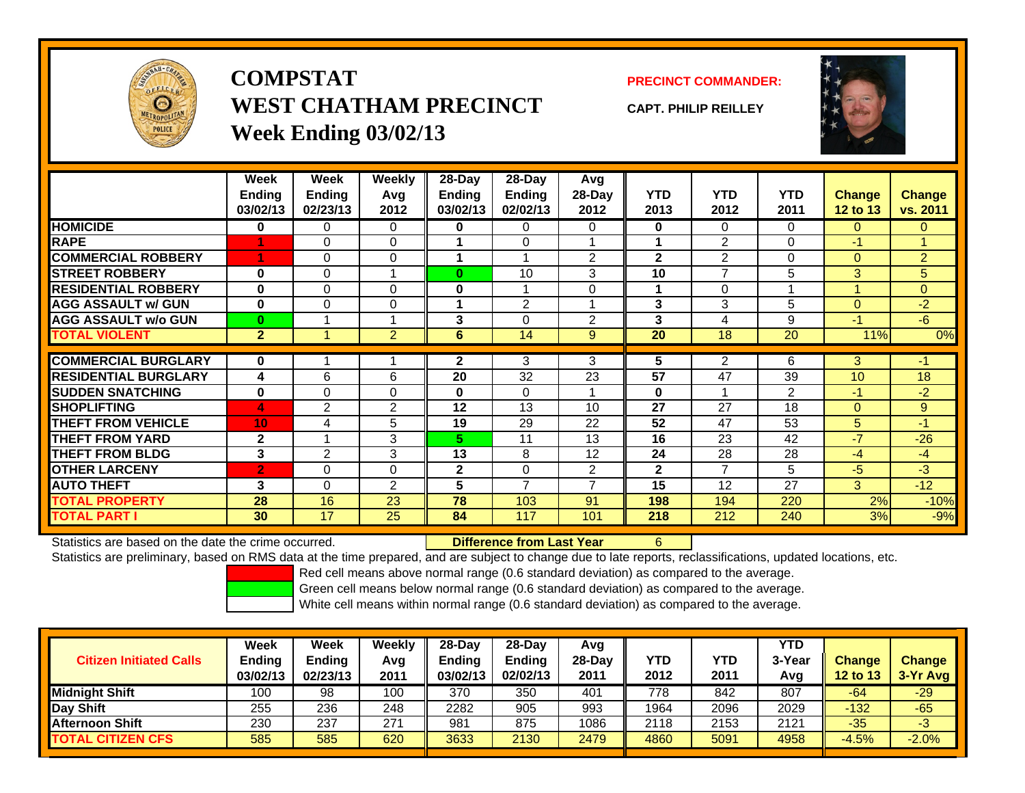

**COMPSTATWEST CHATHAM PRECINCTWeek Ending 03/02/13**

**PRECINCT COMMANDER:**

**CAPT. PHILIP REILLEY**



|                              | Week           | Week           | Weekly         | $28$ -Day | $28-Day$       | Avg                      |              |                |            |                 |                |
|------------------------------|----------------|----------------|----------------|-----------|----------------|--------------------------|--------------|----------------|------------|-----------------|----------------|
|                              | <b>Ending</b>  | <b>Ending</b>  | Avg            | Ending    | <b>Ending</b>  | 28-Day                   | <b>YTD</b>   | <b>YTD</b>     | <b>YTD</b> | <b>Change</b>   | Change         |
|                              | 03/02/13       | 02/23/13       | 2012           | 03/02/13  | 02/02/13       | 2012                     | 2013         | 2012           | 2011       | 12 to 13        | vs. 2011       |
| <b>HOMICIDE</b>              | 0              | 0              | 0              | 0         | 0              | 0                        | 0            | $\Omega$       | $\Omega$   | $\mathbf{0}$    | $\Omega$       |
| <b>RAPE</b>                  |                | 0              | $\Omega$       |           | 0              |                          | 1            | $\overline{2}$ | $\Omega$   | $-1$            | 1              |
| <b>COMMERCIAL ROBBERY</b>    | 1              | 0              | 0              |           |                | $\overline{2}$           | $\mathbf{2}$ | 2              | $\Omega$   | $\mathbf{0}$    | $\overline{2}$ |
| <b>STREET ROBBERY</b>        | $\bf{0}$       | 0              |                | $\bf{0}$  | 10             | 3                        | 10           | 7              | 5          | 3               | 5              |
| <b>RESIDENTIAL ROBBERY</b>   | $\bf{0}$       | $\Omega$       | 0              | 0         |                | $\Omega$                 | 1            | $\Omega$       |            | 4               | $\Omega$       |
| <b>AGG ASSAULT w/ GUN</b>    | $\bf{0}$       | $\Omega$       | 0              |           | $\overline{2}$ |                          | 3            | 3              | 5          | $\Omega$        | $-2$           |
| <b>AGG ASSAULT w/o GUN</b>   | $\bf{0}$       |                | 4              | 3         | $\Omega$       | $\overline{2}$           | 3            | 4              | 9          | $-1$            | $-6$           |
| <b>TOTAL VIOLENT</b>         | $\overline{2}$ |                | $\overline{2}$ | 6         | 14             | 9                        | 20           | 18             | 20         | 11%             | 0%             |
|                              |                |                |                |           |                |                          |              |                |            |                 |                |
| <b>COMMERCIAL BURGLARY</b>   | $\bf{0}$       |                |                | 2         | 3              | 3                        | 5            | $\overline{2}$ | 6          | 3               | $-1$           |
| <b>IRESIDENTIAL BURGLARY</b> | 4              | 6              | 6              | 20        | 32             | 23                       | 57           | 47             | 39         | 10 <sup>1</sup> | 18             |
| <b>SUDDEN SNATCHING</b>      | $\bf{0}$       | 0              | 0              | $\bf{0}$  | 0              |                          | $\bf{0}$     |                | 2          | $-1$            | $-2$           |
| <b>SHOPLIFTING</b>           | 4              | $\overline{2}$ | 2              | 12        | 13             | 10                       | 27           | 27             | 18         | $\Omega$        | 9              |
| <b>THEFT FROM VEHICLE</b>    | 10             | 4              | 5              | 19        | 29             | 22                       | 52           | 47             | 53         | 5               | $-1$           |
| <b>THEFT FROM YARD</b>       | $\mathbf{2}$   |                | 3              | 5.        | 11             | 13                       | 16           | 23             | 42         | $-7$            | $-26$          |
| <b>THEFT FROM BLDG</b>       | 3              | $\overline{2}$ | 3              | 13        | 8              | 12                       | 24           | 28             | 28         | $-4$            | $-4$           |
| <b>OTHER LARCENY</b>         | $\overline{2}$ | 0              | $\Omega$       | 2         | 0              | 2                        | $\mathbf{2}$ | 7              | 5          | $-5$            | $-3$           |
| <b>AUTO THEFT</b>            | 3              | 0              | $\overline{2}$ | 5         | $\overline{ }$ | $\overline{\phantom{a}}$ | 15           | 12             | 27         | 3               | $-12$          |
| <b>TOTAL PROPERTY</b>        | 28             | 16             | 23             | 78        | 103            | 91                       | 198          | 194            | 220        | 2%              | $-10%$         |
| <b>TOTAL PART I</b>          | 30             | 17             | 25             | 84        | 117            | 101                      | 218          | 212            | 240        | 3%              | $-9%$          |

Statistics are based on the date the crime occurred. **Difference from Last Year** 

Statistics are preliminary, based on RMS data at the time prepared, and are subject to change due to late reports, reclassifications, updated locations, etc.

6

Red cell means above normal range (0.6 standard deviation) as compared to the average.

Green cell means below normal range (0.6 standard deviation) as compared to the average.

| <b>Citizen Initiated Calls</b> | Week<br><b>Ending</b><br>03/02/13 | <b>Week</b><br><b>Ending</b><br>02/23/13 | Weekly<br>Avg<br>2011 | $28-Day$<br>Ending<br>03/02/13 | 28-Dav<br><b>Ending</b><br>02/02/13 | Avg<br>$28-Dav$<br>2011 | YTD<br>2012 | YTD<br>2011 | YTD<br>3-Year<br>Avg | <b>Change</b><br>12 to 13 | <b>Change</b><br>3-Yr Avg |
|--------------------------------|-----------------------------------|------------------------------------------|-----------------------|--------------------------------|-------------------------------------|-------------------------|-------------|-------------|----------------------|---------------------------|---------------------------|
| <b>Midnight Shift</b>          | 100                               | 98                                       | 100                   | 370                            | 350                                 | 401                     | 778         | 842         | 807                  | -64                       | $-29$                     |
| Day Shift                      | 255                               | 236                                      | 248                   | 2282                           | 905                                 | 993                     | 1964        | 2096        | 2029                 | $-132$                    | $-65$                     |
| <b>Afternoon Shift</b>         | 230                               | 237                                      | 271                   | 981                            | 875                                 | 1086                    | 2118        | 2153        | 2121                 | $-35$                     | -3                        |
| <b>TOTAL CITIZEN CFS</b>       | 585                               | 585                                      | 620                   | 3633                           | 2130                                | 2479                    | 4860        | 5091        | 4958                 | $-4.5%$                   | $-2.0%$                   |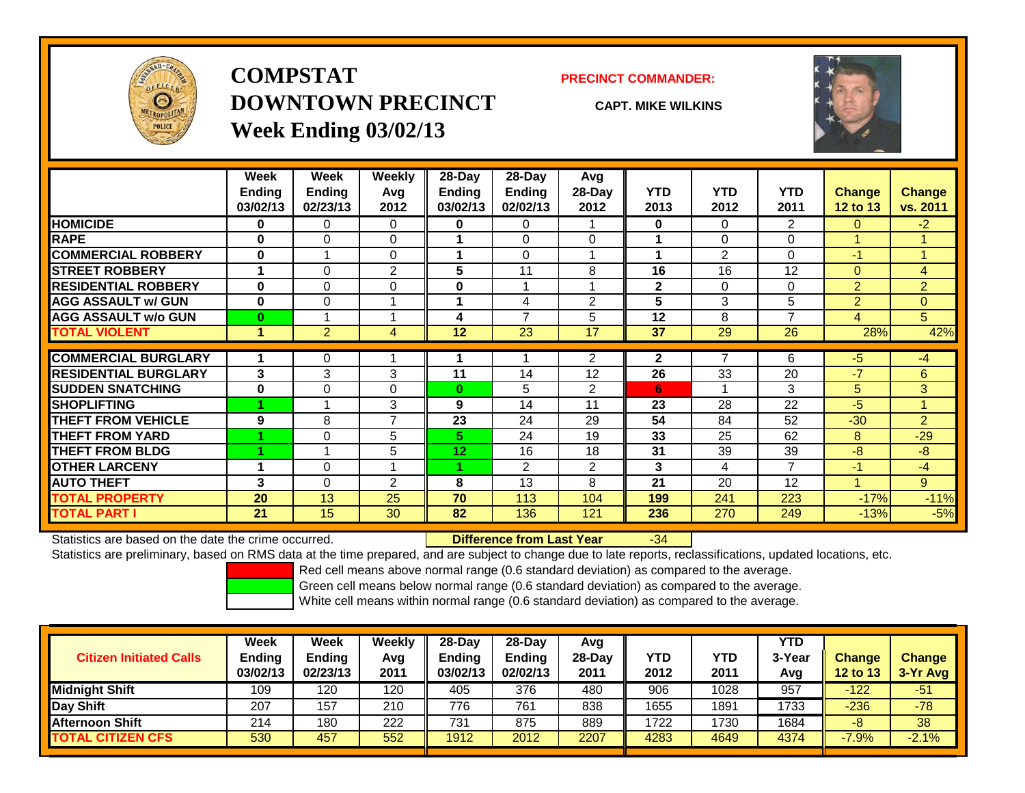

## **COMPSTATDOWNTOWN PRECINCTWeek Ending 03/02/13**

### **PRECINCT COMMANDER:**

**CAPT. MIKE WILKINS**



|                             | Week          | Week           | Weekly         | $28-Day$ | $28$ -Day      | Avg            |              |                |                |                |                |
|-----------------------------|---------------|----------------|----------------|----------|----------------|----------------|--------------|----------------|----------------|----------------|----------------|
|                             | <b>Ending</b> | <b>Ending</b>  | Avq            | Ending   | <b>Endina</b>  | $28-Day$       | <b>YTD</b>   | <b>YTD</b>     | <b>YTD</b>     | <b>Change</b>  | <b>Change</b>  |
|                             | 03/02/13      | 02/23/13       | 2012           | 03/02/13 | 02/02/13       | 2012           | 2013         | 2012           | 2011           | 12 to 13       | vs. 2011       |
| <b>HOMICIDE</b>             | 0             | 0              | $\Omega$       | 0        | 0              |                | 0            | $\Omega$       | $\overline{2}$ | $\Omega$       | $-2$           |
| <b>RAPE</b>                 | 0             | 0              | $\mathbf 0$    |          | 0              | $\Omega$       |              | 0              | $\Omega$       |                |                |
| <b>COMMERCIAL ROBBERY</b>   | 0             |                | $\Omega$       |          | 0              |                |              | $\overline{2}$ | $\Omega$       | $-1$           | 1              |
| <b>STREET ROBBERY</b>       |               | 0              | $\overline{2}$ | 5        | 11             | 8              | 16           | 16             | 12             | $\overline{0}$ | 4              |
| <b>RESIDENTIAL ROBBERY</b>  | $\bf{0}$      | 0              | $\mathbf 0$    | $\bf{0}$ | 4              |                | $\mathbf{2}$ | 0              | $\Omega$       | $\overline{2}$ | $\overline{2}$ |
| <b>AGG ASSAULT w/ GUN</b>   | $\bf{0}$      | 0              |                |          | 4              | $\overline{2}$ | 5            | 3              | 5              | $\overline{2}$ | $\Omega$       |
| <b>AGG ASSAULT w/o GUN</b>  | $\bf{0}$      |                |                | 4        | $\overline{7}$ | 5              | 12           | 8              | $\overline{ }$ | $\overline{4}$ | 5              |
| <b>TOTAL VIOLENT</b>        | 1             | $\overline{2}$ | 4              | 12       | 23             | 17             | 37           | 29             | 26             | 28%            | 42%            |
|                             |               |                |                |          |                |                |              | $\overline{7}$ |                |                |                |
| <b>COMMERCIAL BURGLARY</b>  |               | 0              |                |          |                | 2              | $\mathbf{2}$ |                | 6              | -5             | $-4$           |
| <b>RESIDENTIAL BURGLARY</b> | 3             | 3              | 3              | 11       | 14             | 12             | 26           | 33             | 20             | $-7$           | 6              |
| <b>SUDDEN SNATCHING</b>     | 0             | 0              | $\Omega$       | $\bf{0}$ | 5              | 2              | 6            |                | 3              | 5              | 3              |
| <b>SHOPLIFTING</b>          |               |                | 3              | 9        | 14             | 11             | 23           | 28             | 22             | $-5$           | 4              |
| <b>THEFT FROM VEHICLE</b>   | 9             | 8              | $\overline{7}$ | 23       | 24             | 29             | 54           | 84             | 52             | $-30$          | $\overline{2}$ |
| <b>THEFT FROM YARD</b>      |               | 0              | 5              | 5.       | 24             | 19             | 33           | 25             | 62             | 8              | $-29$          |
| <b>THEFT FROM BLDG</b>      |               |                | 5              | 12       | 16             | 18             | 31           | 39             | 39             | $-8$           | $-8$           |
| <b>OTHER LARCENY</b>        | 1             | 0              |                |          | $\overline{2}$ | $\overline{2}$ | 3            | 4              | 7              | $-1$           | $-4$           |
| <b>AUTO THEFT</b>           | 3             | 0              | $\overline{2}$ | 8        | 13             | 8              | 21           | 20             | 12             |                | 9              |
| TOTAL PROPERTY              | 20            | 13             | 25             | 70       | 113            | 104            | 199          | 241            | 223            | $-17%$         | $-11%$         |
| <b>TOTAL PART I</b>         | 21            | 15             | 30             | 82       | 136            | 121            | 236          | 270            | 249            | $-13%$         | $-5%$          |

Statistics are based on the date the crime occurred. **Difference from Last Year** 

### r -34

Statistics are preliminary, based on RMS data at the time prepared, and are subject to change due to late reports, reclassifications, updated locations, etc.

Red cell means above normal range (0.6 standard deviation) as compared to the average.

Green cell means below normal range (0.6 standard deviation) as compared to the average.

| <b>Citizen Initiated Calls</b> | <b>Week</b><br><b>Ending</b><br>03/02/13 | Week<br>Ending<br>02/23/13 | Weekly<br>Avg<br>2011 | $28-Dav$<br><b>Ending</b><br>03/02/13 | $28-Dav$<br><b>Ending</b><br>02/02/13 | Avg<br>$28-Day$<br>2011 | <b>YTD</b><br>2012 | YTD<br>2011 | <b>YTD</b><br>3-Year<br>Avg | Change<br><b>12 to 13</b> | <b>Change</b><br>$3-Yr$ Avg |
|--------------------------------|------------------------------------------|----------------------------|-----------------------|---------------------------------------|---------------------------------------|-------------------------|--------------------|-------------|-----------------------------|---------------------------|-----------------------------|
| <b>Midnight Shift</b>          | 109                                      | 120                        | 120                   | 405                                   | 376                                   | 480                     | 906                | 1028        | 957                         | $-122$                    | -51                         |
| Day Shift                      | 207                                      | 157                        | 210                   | 776                                   | 761                                   | 838                     | 1655               | 1891        | 1733                        | $-236$                    | $-78$                       |
| <b>Afternoon Shift</b>         | 214                                      | 180                        | 222                   | 731                                   | 875                                   | 889                     | 1722               | 1730        | 1684                        | -8                        | 38                          |
| <b>TOTAL CITIZEN CFS</b>       | 530                                      | 457                        | 552                   | 1912                                  | 2012                                  | 2207                    | 4283               | 4649        | 4374                        | $-7.9%$                   | $-2.1%$                     |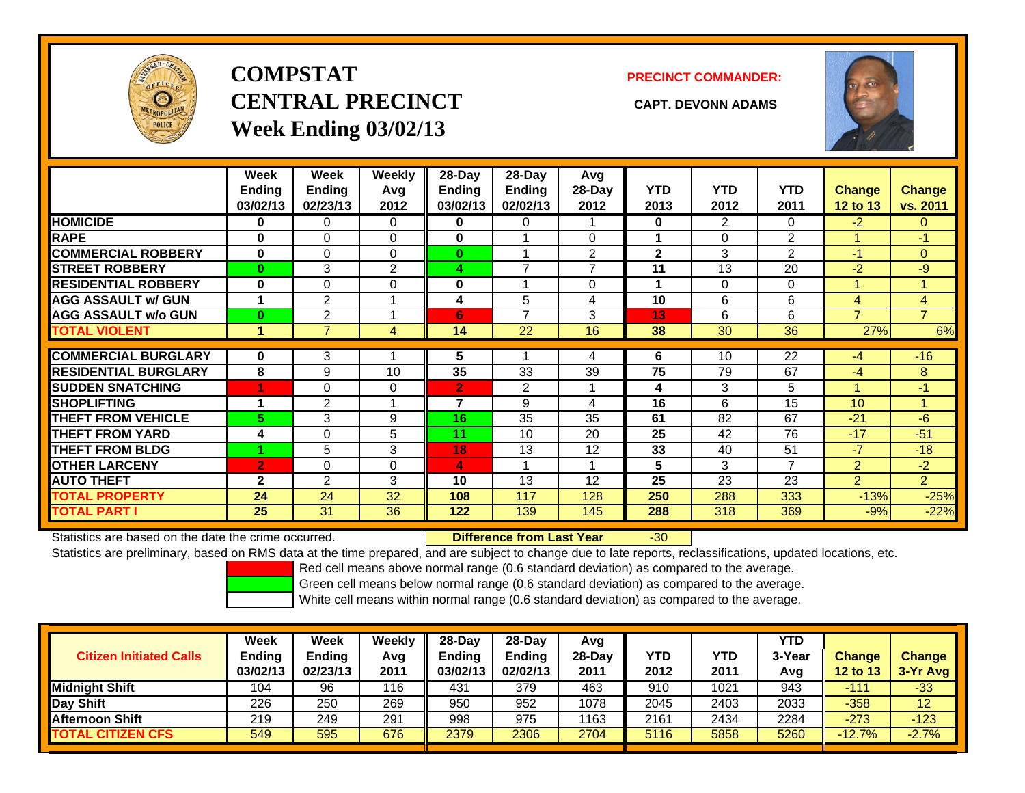

# **COMPSTATCENTRAL PRECINCT CAPT. DEVONN ADAMSWeek Ending 03/02/13**

**PRECINCT COMMANDER:**



|                             | Week<br><b>Ending</b><br>03/02/13 | Week<br><b>Ending</b><br>02/23/13 | <b>Weekly</b><br>Avg<br>2012 | $28$ -Day<br>Endina<br>03/02/13 | $28$ -Day<br><b>Endina</b><br>02/02/13 | Avg<br>28-Day<br>2012 | <b>YTD</b><br>2013 | <b>YTD</b><br>2012 | <b>YTD</b><br>2011 | <b>Change</b><br>12 to 13 | Change<br>vs. 2011 |
|-----------------------------|-----------------------------------|-----------------------------------|------------------------------|---------------------------------|----------------------------------------|-----------------------|--------------------|--------------------|--------------------|---------------------------|--------------------|
| <b>HOMICIDE</b>             | 0                                 | 0                                 | 0                            | 0                               | 0                                      |                       | $\bf{0}$           | 2                  | 0                  | $-2$                      | 0                  |
| <b>RAPE</b>                 | 0                                 | 0                                 | $\Omega$                     | $\bf{0}$                        |                                        | $\Omega$              |                    | $\Omega$           | 2                  |                           | -1                 |
| <b>COMMERCIAL ROBBERY</b>   | $\bf{0}$                          | 0                                 | $\Omega$                     | $\bf{0}$                        |                                        | $\overline{2}$        | $\mathbf{2}$       | 3                  | 2                  | $-1$                      | $\overline{0}$     |
| <b>STREET ROBBERY</b>       | $\bf{0}$                          | 3                                 | $\overline{2}$               | 4                               | $\overline{\phantom{a}}$               | $\overline{ }$        | 11                 | 13                 | 20                 | $-2$                      | $-9$               |
| <b>RESIDENTIAL ROBBERY</b>  | $\bf{0}$                          | 0                                 | 0                            | $\bf{0}$                        |                                        | $\Omega$              |                    | $\Omega$           | $\Omega$           |                           |                    |
| <b>AGG ASSAULT w/ GUN</b>   | 1                                 | $\overline{2}$                    |                              | 4                               | 5                                      | 4                     | 10                 | 6                  | 6                  | 4                         | 4                  |
| <b>AGG ASSAULT w/o GUN</b>  | $\bf{0}$                          | 2                                 |                              | 6                               | $\overline{7}$                         | 3                     | 13                 | 6                  | 6                  | $\overline{7}$            | $\overline{7}$     |
| <b>TOTAL VIOLENT</b>        | 4                                 | 7                                 | 4                            | 14                              | 22                                     | 16                    | 38                 | 30                 | 36                 | 27%                       | 6%                 |
| <b>COMMERCIAL BURGLARY</b>  | 0                                 | 3                                 |                              | 5                               |                                        | 4                     | 6                  | 10                 | 22                 | $-4$                      | $-16$              |
| <b>RESIDENTIAL BURGLARY</b> | 8                                 | 9                                 | 10                           | 35                              | 33                                     | 39                    | 75                 | 79                 | 67                 | $-4$                      | 8                  |
| <b>SUDDEN SNATCHING</b>     | -1                                |                                   |                              |                                 |                                        |                       |                    | 3                  |                    |                           | $-1$               |
|                             | 4                                 | 0                                 | 0                            | $\overline{2}$<br>7             | $\overline{2}$                         |                       | 4                  |                    | 5                  |                           |                    |
| <b>SHOPLIFTING</b>          |                                   | 2                                 |                              |                                 | 9                                      | 4                     | 16                 | 6                  | 15                 | 10                        |                    |
| <b>THEFT FROM VEHICLE</b>   | 5                                 | 3                                 | 9                            | 16                              | 35                                     | 35                    | 61                 | 82                 | 67                 | $-21$                     | $-6$               |
| <b>THEFT FROM YARD</b>      | 4                                 | 0                                 | 5                            | 11                              | 10                                     | 20                    | 25                 | 42                 | 76                 | $-17$                     | $-51$              |
| <b>THEFT FROM BLDG</b>      |                                   | 5                                 | 3                            | 18                              | 13                                     | 12                    | 33                 | 40                 | 51                 | $-7$                      | $-18$              |
| <b>OTHER LARCENY</b>        | $\overline{2}$                    | 0                                 | 0                            | 4                               |                                        | 1                     | 5                  | 3                  | 7                  | 2                         | $-2$               |
| <b>AUTO THEFT</b>           | $\mathbf{2}$                      | $\overline{2}$                    | 3                            | 10                              | 13                                     | 12                    | 25                 | 23                 | 23                 | $\overline{2}$            | $\overline{2}$     |
| <b>TOTAL PROPERTY</b>       | 24                                | 24                                | 32                           | 108                             | 117                                    | 128                   | 250                | 288                | 333                | $-13%$                    | $-25%$             |
| <b>TOTAL PART I</b>         | 25                                | 31                                | 36                           | 122                             | 139                                    | 145                   | 288                | 318                | 369                | $-9%$                     | $-22%$             |

Statistics are based on the date the crime occurred. **Difference from Last Year** 

-30

Statistics are preliminary, based on RMS data at the time prepared, and are subject to change due to late reports, reclassifications, updated locations, etc.

Red cell means above normal range (0.6 standard deviation) as compared to the average.

Green cell means below normal range (0.6 standard deviation) as compared to the average.

|                                | <b>Week</b>   | Week     | Weekly | $28-Dav$      | 28-Day        | Avg      |            |            | <b>YTD</b> |                 |               |
|--------------------------------|---------------|----------|--------|---------------|---------------|----------|------------|------------|------------|-----------------|---------------|
| <b>Citizen Initiated Calls</b> | <b>Ending</b> | Ending   | Avg    | <b>Ending</b> | <b>Ending</b> | $28-Dav$ | <b>YTD</b> | <b>YTD</b> | 3-Year     | <b>Change</b>   | <b>Change</b> |
|                                | 03/02/13      | 02/23/13 | 2011   | 03/02/13      | 02/02/13      | 2011     | 2012       | 2011       | Avg        | <b>12 to 13</b> | $3-Yr$ Avg    |
| <b>Midnight Shift</b>          | 104           | 96       | 116    | 431           | 379           | 463      | 910        | 1021       | 943        | -111            | $-33$         |
| Day Shift                      | 226           | 250      | 269    | 950           | 952           | 1078     | 2045       | 2403       | 2033       | $-358$          | 12            |
| <b>Afternoon Shift</b>         | 219           | 249      | 291    | 998           | 975           | 1163     | 2161       | 2434       | 2284       | $-273$          | $-123$        |
| <b>TOTAL CITIZEN CFS</b>       | 549           | 595      | 676    | 2379          | 2306          | 2704     | 5116       | 5858       | 5260       | $-12.7%$        | $-2.7%$       |
|                                |               |          |        |               |               |          |            |            |            |                 |               |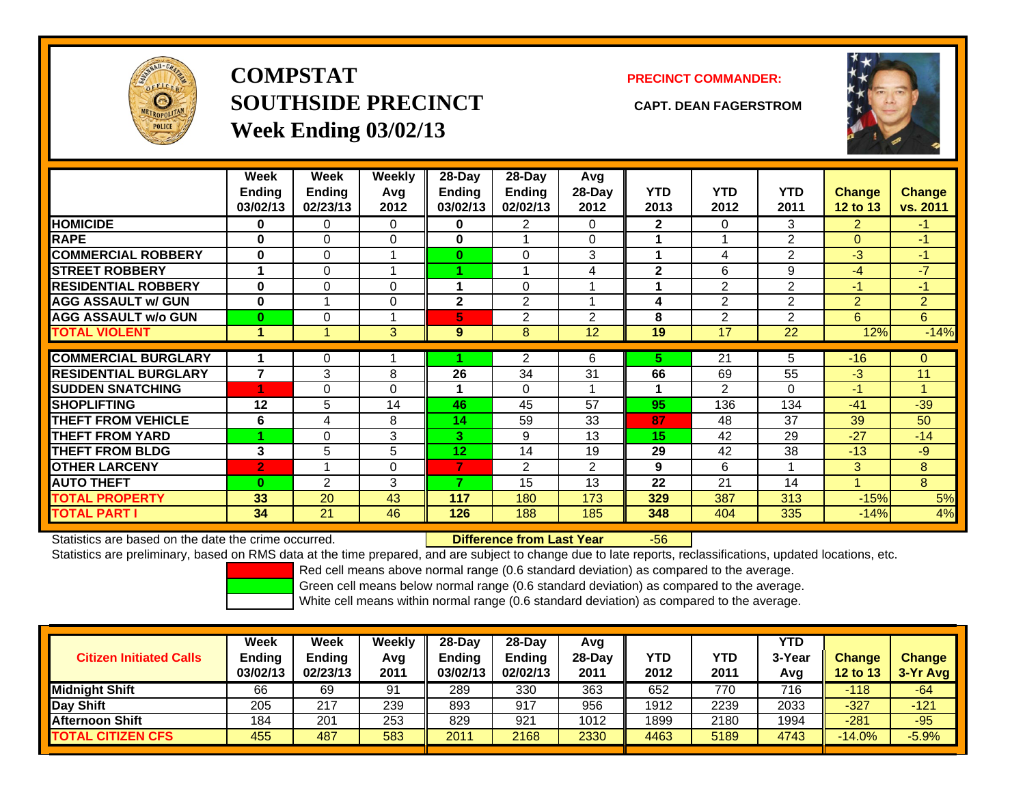

**COMPSTATSOUTHSIDE PRECINCT CAPT. DEAN FAGERSTROMWeek Ending 03/02/13**

## **PRECINCT COMMANDER:**



|                             | Week<br><b>Ending</b><br>03/02/13 | Week<br>Ending<br>02/23/13 | Weekly<br>Avg<br>2012 | 28-Day<br><b>Ending</b><br>03/02/13 | $28$ -Day<br><b>Ending</b><br>02/02/13 | Avg<br>28-Day<br>2012 | <b>YTD</b><br>2013 | <b>YTD</b><br>2012 | <b>YTD</b><br>2011 | <b>Change</b><br>12 to 13 | <b>Change</b><br>vs. 2011 |
|-----------------------------|-----------------------------------|----------------------------|-----------------------|-------------------------------------|----------------------------------------|-----------------------|--------------------|--------------------|--------------------|---------------------------|---------------------------|
| <b>HOMICIDE</b>             | 0                                 | 0                          | 0                     | 0                                   | 2                                      | 0                     | $\mathbf{2}$       | 0                  | 3                  | 2                         | -1.                       |
| <b>RAPE</b>                 | 0                                 | 0                          | $\Omega$              | 0                                   |                                        | $\Omega$              |                    |                    | $\overline{2}$     | $\mathbf{0}$              | $-1$                      |
| <b>COMMERCIAL ROBBERY</b>   | $\bf{0}$                          | 0                          | и                     | $\bf{0}$                            | 0                                      | 3                     | 4                  | 4                  | 2                  | $-3$                      | $-1$                      |
| <b>STREET ROBBERY</b>       | 1                                 | 0                          |                       |                                     |                                        | 4                     | $\mathbf{2}$       | 6                  | 9                  | $-4$                      | $-7$                      |
| <b>RESIDENTIAL ROBBERY</b>  | $\bf{0}$                          | 0                          | $\Omega$              |                                     | 0                                      |                       |                    | 2                  | $\overline{2}$     | -1                        | -1                        |
| <b>AGG ASSAULT w/ GUN</b>   | $\bf{0}$                          | 4                          | $\mathbf 0$           | $\mathbf{2}$                        | 2                                      |                       | 4                  | 2                  | 2                  | 2                         | $\overline{2}$            |
| <b>AGG ASSAULT w/o GUN</b>  | $\bf{0}$                          | 0                          |                       | 5.                                  | 2                                      | 2                     | 8                  | 2                  | $\mathfrak{p}$     | 6                         | 6                         |
| <b>TOTAL VIOLENT</b>        | 1                                 | 4                          | 3                     | 9                                   | 8                                      | 12                    | 19                 | 17                 | 22                 | 12%                       | $-14%$                    |
|                             |                                   |                            |                       |                                     |                                        |                       |                    |                    |                    |                           |                           |
| <b>COMMERCIAL BURGLARY</b>  |                                   | 0                          |                       |                                     | $\overline{2}$                         | 6                     | 5.                 | $\overline{21}$    | 5                  | $-16$                     | $\Omega$                  |
| <b>RESIDENTIAL BURGLARY</b> | $\overline{7}$                    | 3                          | 8                     | 26                                  | 34                                     | 31                    | 66                 | 69                 | 55                 | $-3$                      | 11                        |
| <b>SUDDEN SNATCHING</b>     | 4                                 | 0                          | $\Omega$              |                                     | 0                                      |                       |                    | 2                  | 0                  | $-1$                      |                           |
| <b>SHOPLIFTING</b>          | 12                                | 5                          | 14                    | 46                                  | 45                                     | 57                    | 95                 | 136                | 134                | $-41$                     | $-39$                     |
| <b>THEFT FROM VEHICLE</b>   | 6                                 | 4                          | 8                     | 14                                  | 59                                     | 33                    | 87                 | 48                 | 37                 | 39                        | 50                        |
| <b>THEFT FROM YARD</b>      |                                   | 0                          | 3                     | 3                                   | 9                                      | 13                    | 15                 | 42                 | 29                 | $-27$                     | $-14$                     |
| <b>THEFT FROM BLDG</b>      | 3                                 | 5                          | 5                     | 12                                  | 14                                     | 19                    | 29                 | 42                 | 38                 | $-13$                     | -9                        |
| <b>OTHER LARCENY</b>        | $\overline{2}$                    | 4                          | $\mathbf 0$           | 7                                   | 2                                      | $\overline{2}$        | 9                  | 6                  |                    | 3                         | 8                         |
| <b>AUTO THEFT</b>           | $\bf{0}$                          | $\overline{2}$             | 3                     | ⇁                                   | 15                                     | 13                    | 22                 | 21                 | 14                 |                           | 8                         |
| <b>TOTAL PROPERTY</b>       | 33                                | 20                         | 43                    | 117                                 | 180                                    | 173                   | 329                | 387                | 313                | $-15%$                    | 5%                        |
| <b>TOTAL PART I</b>         | 34                                | 21                         | 46                    | 126                                 | 188                                    | 185                   | 348                | 404                | 335                | $-14%$                    | 4%                        |

Statistics are based on the date the crime occurred. **Difference from Last Year** 

### r -56

Statistics are preliminary, based on RMS data at the time prepared, and are subject to change due to late reports, reclassifications, updated locations, etc.

Red cell means above normal range (0.6 standard deviation) as compared to the average.

Green cell means below normal range (0.6 standard deviation) as compared to the average.

| <b>Citizen Initiated Calls</b> | Week<br><b>Ending</b><br>03/02/13 | Week<br><b>Ending</b><br>02/23/13 | Weekly<br>Avg<br>2011 | $28-Day$<br><b>Ending</b><br>03/02/13 | 28-Day<br><b>Ending</b><br>02/02/13 | Avg<br>28-Dav<br>2011 | YTD<br>2012 | YTD<br>2011 | <b>YTD</b><br>3-Year<br>Avg | <b>Change</b><br><b>12 to 13</b> | <b>Change</b><br>$3-Yr$ Avg |  |
|--------------------------------|-----------------------------------|-----------------------------------|-----------------------|---------------------------------------|-------------------------------------|-----------------------|-------------|-------------|-----------------------------|----------------------------------|-----------------------------|--|
| <b>Midnight Shift</b>          | 66                                | 69                                | 91                    | 289                                   | 330                                 | 363                   | 652         | 770         | 716                         | $-118$                           | -64                         |  |
| Day Shift                      | 205                               | 217                               | 239                   | 893                                   | 917                                 | 956                   | 1912        | 2239        | 2033                        | $-327$                           | $-121$                      |  |
| <b>Afternoon Shift</b>         | 184                               | 201                               | 253                   | 829                                   | 921                                 | 1012                  | 1899        | 2180        | 1994                        | $-281$                           | $-95$                       |  |
| <b>TOTAL CITIZEN CFS</b>       | 455                               | 487                               | 583                   | 2011                                  | 2168                                | 2330                  | 4463        | 5189        | 4743                        | $-14.0%$                         | $-5.9%$                     |  |
|                                |                                   |                                   |                       |                                       |                                     |                       |             |             |                             |                                  |                             |  |